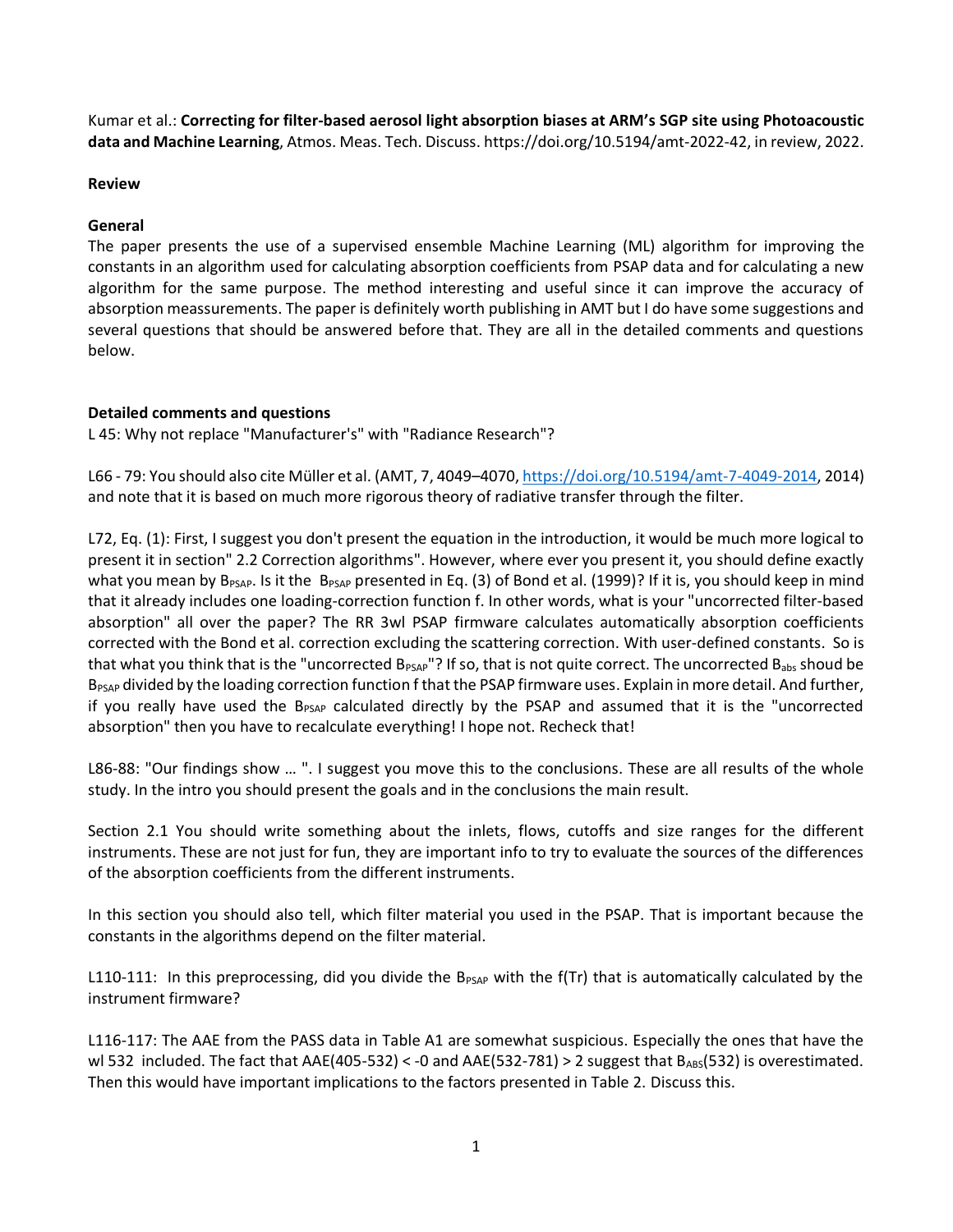Kumar et al.: **Correcting for filter-based aerosol light absorption biases at ARM's SGP site using Photoacoustic data and Machine Learning**, Atmos. Meas. Tech. Discuss. https://doi.org/10.5194/amt-2022-42, in review, 2022.

## **Review**

## **General**

The paper presents the use of a supervised ensemble Machine Learning (ML) algorithm for improving the constants in an algorithm used for calculating absorption coefficients from PSAP data and for calculating a new algorithm for the same purpose. The method interesting and useful since it can improve the accuracy of absorption meassurements. The paper is definitely worth publishing in AMT but I do have some suggestions and several questions that should be answered before that. They are all in the detailed comments and questions below.

## **Detailed comments and questions**

L 45: Why not replace "Manufacturer's" with "Radiance Research"?

L66 - 79: You should also cite Müller et al. (AMT, 7, 4049–4070[, https://doi.org/10.5194/amt-7-4049-2014,](https://doi.org/10.5194/amt-7-4049-2014) 2014) and note that it is based on much more rigorous theory of radiative transfer through the filter.

L72, Eq. (1): First, I suggest you don't present the equation in the introduction, it would be much more logical to present it in section" 2.2 Correction algorithms". However, where ever you present it, you should define exactly what you mean by B<sub>PSAP</sub>. Is it the B<sub>PSAP</sub> presented in Eq. (3) of Bond et al. (1999)? If it is, you should keep in mind that it already includes one loading-correction function f. In other words, what is your "uncorrected filter-based absorption" all over the paper? The RR 3wl PSAP firmware calculates automatically absorption coefficients corrected with the Bond et al. correction excluding the scattering correction. With user-defined constants. So is that what you think that is the "uncorrected B<sub>PSAP</sub>"? If so, that is not quite correct. The uncorrected B<sub>abs</sub> shoud be B<sub>PSAP</sub> divided by the loading correction function f that the PSAP firmware uses. Explain in more detail. And further, if you really have used the  $B_{PSAP}$  calculated directly by the PSAP and assumed that it is the "uncorrected absorption" then you have to recalculate everything! I hope not. Recheck that!

L86-88: "Our findings show … ". I suggest you move this to the conclusions. These are all results of the whole study. In the intro you should present the goals and in the conclusions the main result.

Section 2.1 You should write something about the inlets, flows, cutoffs and size ranges for the different instruments. These are not just for fun, they are important info to try to evaluate the sources of the differences of the absorption coefficients from the different instruments.

In this section you should also tell, which filter material you used in the PSAP. That is important because the constants in the algorithms depend on the filter material.

L110-111: In this preprocessing, did you divide the B<sub>PSAP</sub> with the f(Tr) that is automatically calculated by the instrument firmware?

L116-117: The AAE from the PASS data in Table A1 are somewhat suspicious. Especially the ones that have the wl 532 included. The fact that AAE(405-532) < -0 and AAE(532-781) > 2 suggest that  $B_{\text{ABS}}$ (532) is overestimated. Then this would have important implications to the factors presented in Table 2. Discuss this.